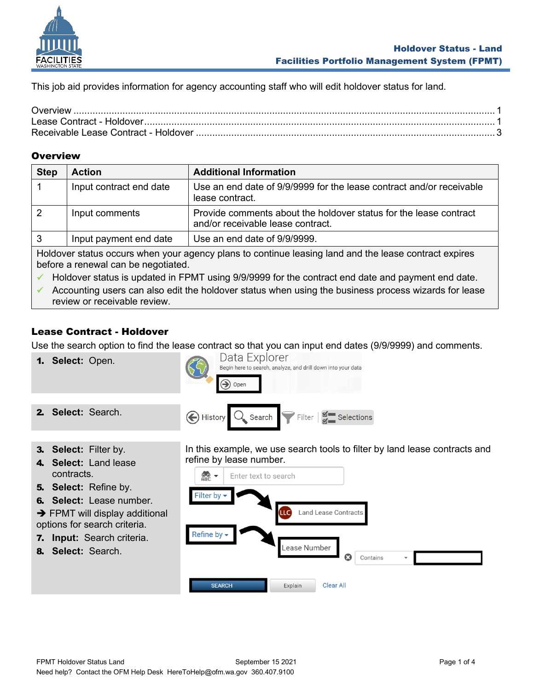

This job aid provides information for agency accounting staff who will edit holdover status for land.

#### <span id="page-0-0"></span>**Overview**

| <b>Step</b>                                                                                                                                  | <b>Action</b>           | <b>Additional Information</b>                                                                          |
|----------------------------------------------------------------------------------------------------------------------------------------------|-------------------------|--------------------------------------------------------------------------------------------------------|
|                                                                                                                                              | Input contract end date | Use an end date of 9/9/9999 for the lease contract and/or receivable<br>lease contract.                |
|                                                                                                                                              | Input comments          | Provide comments about the holdover status for the lease contract<br>and/or receivable lease contract. |
|                                                                                                                                              | Input payment end date  | Use an end date of 9/9/9999.                                                                           |
| Holdover status occurs when your agency plans to continue leasing land and the lease contract expires<br>before a renewal can be negotiated. |                         |                                                                                                        |

Holdover status is updated in FPMT using 9/9/9999 for the contract end date and payment end date.

✓ Accounting users can also edit the holdover status when using the business process wizards for lease review or receivable review.

## <span id="page-0-1"></span>Lease Contract - Holdover

Use the search option to find the lease contract so that you can input end dates (9/9/9999) and comments.

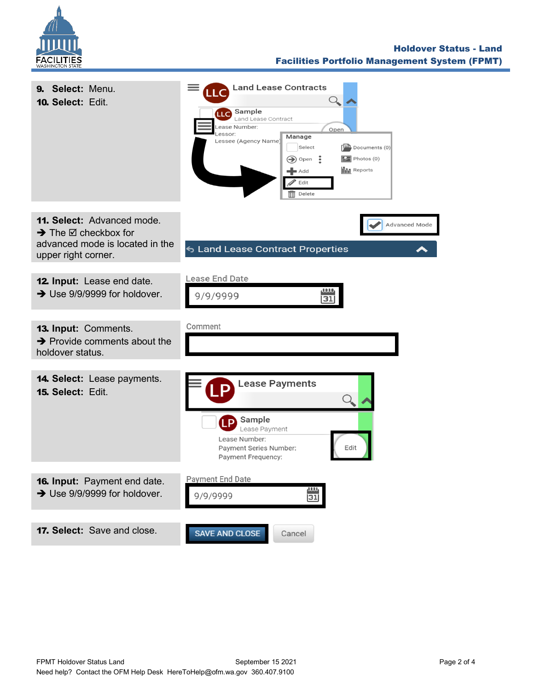

#### Holdover Status - Land Facilities Portfolio Management System (FPMT)

| 9. Select: Menu.<br>10. Select: Edit.                                                                                                     | <b>Land Lease Contracts</b><br><b>LLC</b> Sample<br>Land Lease Contract<br>ease Number:<br>Open<br>essor:<br>Manage<br>Lessee (Agency Name)<br>Select<br>$\left[\frac{1-\mathbf{A}}{2}\right]$ Documents (0)<br>$\boxed{2}$ Photos (0)<br>$\bigcirc$ Open $\bullet$<br><b>III</b> Reports<br>$\blacksquare$ Add<br>Edit<br>$\overline{\mathbb{H}}$ Delete |
|-------------------------------------------------------------------------------------------------------------------------------------------|-----------------------------------------------------------------------------------------------------------------------------------------------------------------------------------------------------------------------------------------------------------------------------------------------------------------------------------------------------------|
| <b>11. Select: Advanced mode.</b><br>$\rightarrow$ The $\boxtimes$ checkbox for<br>advanced mode is located in the<br>upper right corner. | <b>Advanced Mode</b><br>← Land Lease Contract Properties                                                                                                                                                                                                                                                                                                  |
| 12. Input: Lease end date.<br>$\rightarrow$ Use 9/9/9999 for holdover.                                                                    | Lease End Date<br>9/9/9999                                                                                                                                                                                                                                                                                                                                |
| 13. Input: Comments.<br>$\rightarrow$ Provide comments about the<br>holdover status.                                                      | Comment                                                                                                                                                                                                                                                                                                                                                   |
| <b>14. Select:</b> Lease payments.<br>15. Select: Edit.                                                                                   | <b>Lease Payments</b><br>Sample<br>Lease Payment<br>Lease Number:<br>Payment Series Number:<br>Edi<br>Payment Frequency:                                                                                                                                                                                                                                  |
| 16. Input: Payment end date.<br>$\rightarrow$ Use 9/9/9999 for holdover.                                                                  | <b>Payment End Date</b><br>9/9/9999<br>31                                                                                                                                                                                                                                                                                                                 |
| 17. Select: Save and close.                                                                                                               | SAVE AND CLOSE<br>Cancel                                                                                                                                                                                                                                                                                                                                  |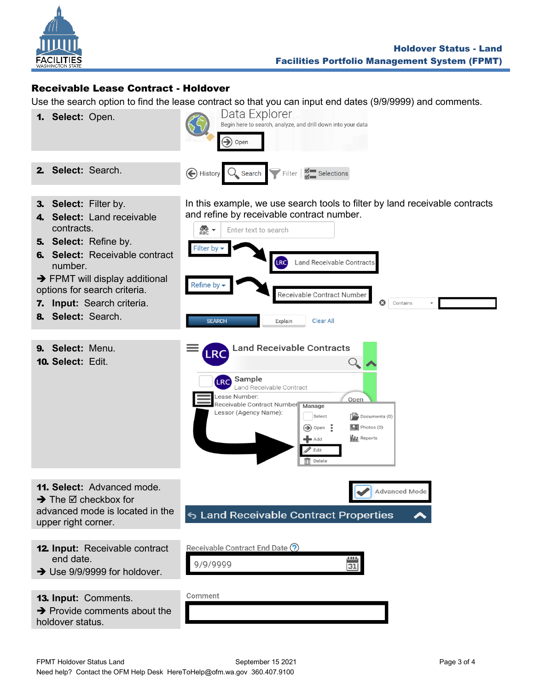

# <span id="page-2-0"></span>Receivable Lease Contract - Holdover

Use the search option to find the lease contract so that you can input end dates (9/9/9999) and comments.

1. **Select:** Open.



3. **Select:** Filter by.

2. **Select:** Search.

- 4. **Select:** Land receivable contracts.
- 5. **Select:** Refine by.
- 6. **Select:** Receivable contract number.
- $\rightarrow$  FPMT will display additional options for search criteria.
- 7. **Input:** Search criteria.
- 8. **Select:** Search.
- 9. **Select:** Menu.

 $\rightarrow$  The  $\boxtimes$  checkbox for

13. **Input:** Comments.

upper right corner.

end date.

holdover status.

10. **Select:** Edit.

In this example, we use search tools to filter by land receivable contracts and refine by receivable contract number.